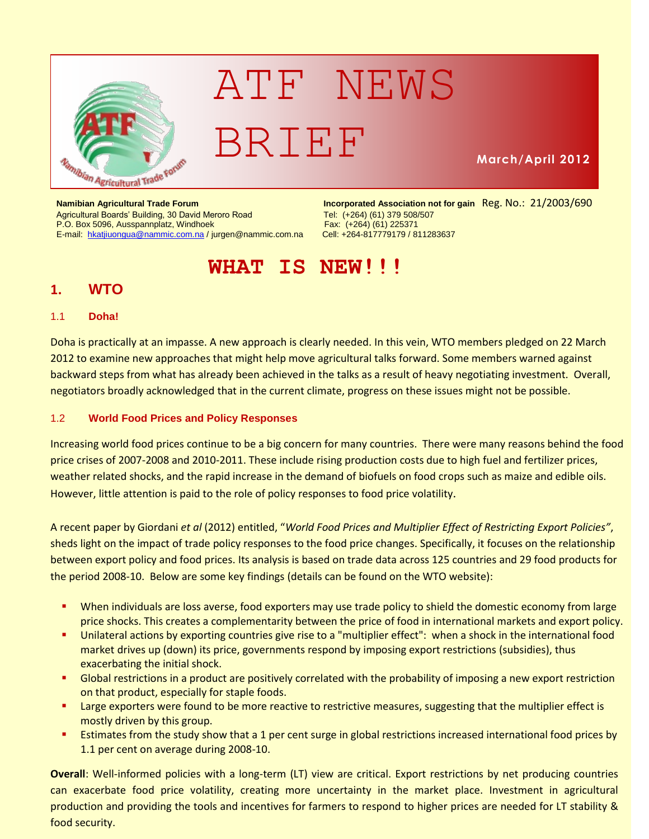

# ATF NEWS BRIEF

**March/April 2012**

#### Agricultural Boards' Building, 30 David Meroro Road Tel: (+264) (61) 379 508/507<br>P.O. Box 5096, Ausspannplatz, Windhoek Tel: Tex: (+264) (61) 225371 P.O. Box 5096, Ausspannplatz, Windhoek E-mail: [hkatjiuongua@nammic.com.na](mailto:hkatjiuongua@nammic.com.na) [/ jurgen@nammic.com.na](mailto:jurgen@nammic.com.na) Cell: +264-817779179 / 811283637

**Namibian Agricultural Trade Forum Incorporated Association not for gain** Reg. No.: 21/2003/690

## **WHAT IS NEW!!!**

## **1. WTO**

#### 1.1 **Doha!**

Doha is practically at an impasse. A new approach is clearly needed. In this vein, WTO members pledged on 22 March 2012 to examine new approaches that might help move agricultural talks forward. Some members warned against backward steps from what has already been achieved in the talks as a result of heavy negotiating investment. Overall, negotiators broadly acknowledged that in the current climate, progress on these issues might not be possible.

### 1.2 **World Food Prices and Policy Responses**

Increasing world food prices continue to be a big concern for many countries. There were many reasons behind the food price crises of 2007-2008 and 2010-2011. These include rising production costs due to high fuel and fertilizer prices, weather related shocks, and the rapid increase in the demand of biofuels on food crops such as maize and edible oils. However, little attention is paid to the role of policy responses to food price volatility.

A recent paper by Giordani *et al* (2012) entitled, "*World Food Prices and Multiplier Effect of Restricting Export Policies"*, sheds light on the impact of trade policy responses to the food price changes. Specifically, it focuses on the relationship between export policy and food prices. Its analysis is based on trade data across 125 countries and 29 food products for the period 2008-10. Below are some key findings (details can be found on the WTO website):

- When individuals are loss averse, food exporters may use trade policy to shield the domestic economy from large price shocks. This creates a complementarity between the price of food in international markets and export policy.
- Unilateral actions by exporting countries give rise to a "multiplier effect": when a shock in the international food market drives up (down) its price, governments respond by imposing export restrictions (subsidies), thus exacerbating the initial shock.
- Global restrictions in a product are positively correlated with the probability of imposing a new export restriction on that product, especially for staple foods.
- **EXPORTER 1** Large exporters were found to be more reactive to restrictive measures, suggesting that the multiplier effect is mostly driven by this group.
- **Estimates from the study show that a 1 per cent surge in global restrictions increased international food prices by** 1.1 per cent on average during 2008-10.

**Overall**: Well-informed policies with a long-term (LT) view are critical. Export restrictions by net producing countries can exacerbate food price volatility, creating more uncertainty in the market place. Investment in agricultural production and providing the tools and incentives for farmers to respond to higher prices are needed for LT stability & food security.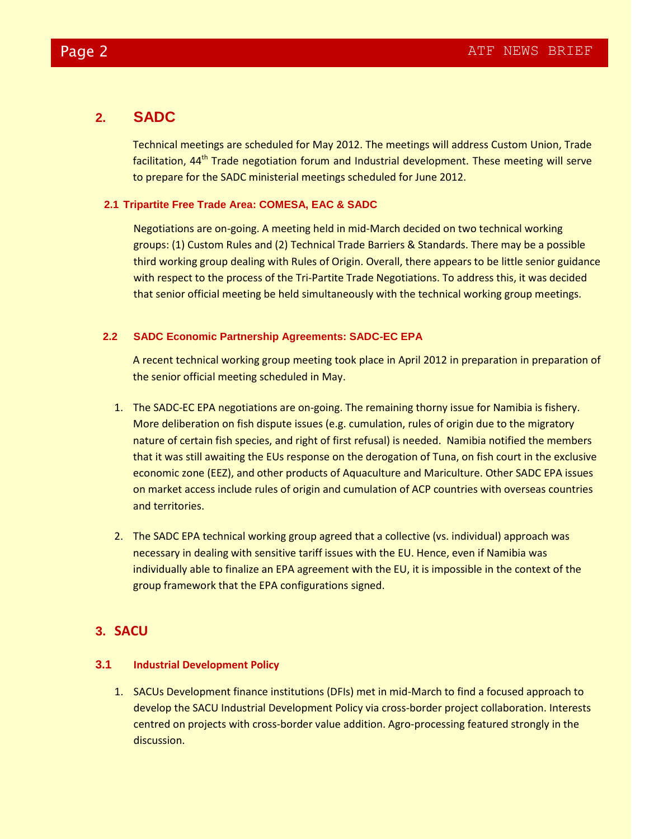## **2. SADC**

Technical meetings are scheduled for May 2012. The meetings will address Custom Union, Trade facilitation, 44<sup>th</sup> Trade negotiation forum and Industrial development. These meeting will serve to prepare for the SADC ministerial meetings scheduled for June 2012.

#### **2.1 Tripartite Free Trade Area: COMESA, EAC & SADC**

Negotiations are on-going. A meeting held in mid-March decided on two technical working groups: (1) Custom Rules and (2) Technical Trade Barriers & Standards. There may be a possible third working group dealing with Rules of Origin. Overall, there appears to be little senior guidance with respect to the process of the Tri-Partite Trade Negotiations. To address this, it was decided that senior official meeting be held simultaneously with the technical working group meetings.

#### **2.2 SADC Economic Partnership Agreements: SADC-EC EPA**

A recent technical working group meeting took place in April 2012 in preparation in preparation of the senior official meeting scheduled in May.

- 1. The SADC-EC EPA negotiations are on-going. The remaining thorny issue for Namibia is fishery. More deliberation on fish dispute issues (e.g. cumulation, rules of origin due to the migratory nature of certain fish species, and right of first refusal) is needed. Namibia notified the members that it was still awaiting the EUs response on the derogation of Tuna, on fish court in the exclusive economic zone (EEZ), and other products of Aquaculture and Mariculture. Other SADC EPA issues on market access include rules of origin and cumulation of ACP countries with overseas countries and territories.
- 2. The SADC EPA technical working group agreed that a collective (vs. individual) approach was necessary in dealing with sensitive tariff issues with the EU. Hence, even if Namibia was individually able to finalize an EPA agreement with the EU, it is impossible in the context of the group framework that the EPA configurations signed.

## **3. SACU**

#### **3.1 Industrial Development Policy**

1. SACUs Development finance institutions (DFIs) met in mid-March to find a focused approach to develop the SACU Industrial Development Policy via cross-border project collaboration. Interests centred on projects with cross-border value addition. Agro-processing featured strongly in the discussion.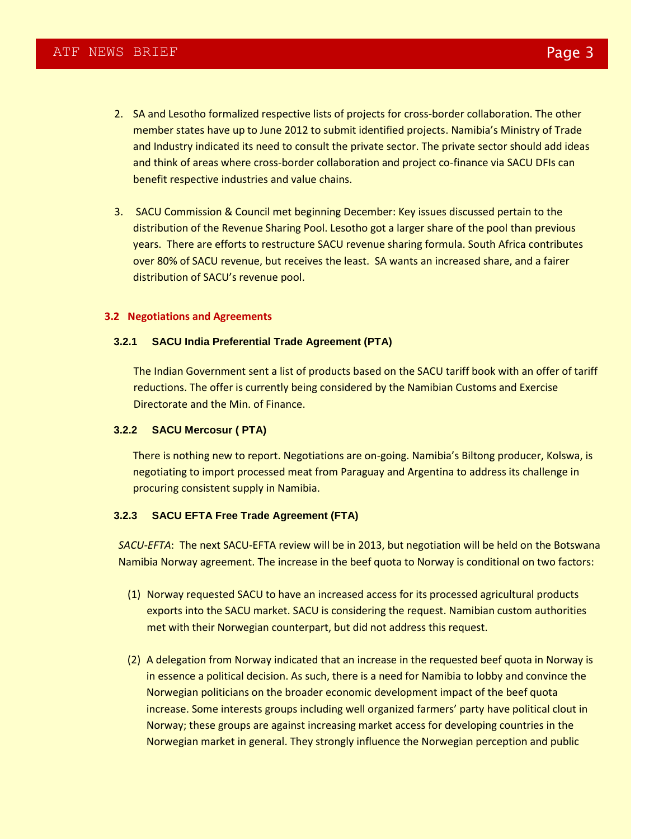- 2. SA and Lesotho formalized respective lists of projects for cross-border collaboration. The other member states have up to June 2012 to submit identified projects. Namibia's Ministry of Trade and Industry indicated its need to consult the private sector. The private sector should add ideas and think of areas where cross-border collaboration and project co-finance via SACU DFIs can benefit respective industries and value chains.
- 3. SACU Commission & Council met beginning December: Key issues discussed pertain to the distribution of the Revenue Sharing Pool. Lesotho got a larger share of the pool than previous years. There are efforts to restructure SACU revenue sharing formula. South Africa contributes over 80% of SACU revenue, but receives the least. SA wants an increased share, and a fairer distribution of SACU's revenue pool.

#### **3.2 Negotiations and Agreements**

#### **3.2.1 SACU India Preferential Trade Agreement (PTA)**

The Indian Government sent a list of products based on the SACU tariff book with an offer of tariff reductions. The offer is currently being considered by the Namibian Customs and Exercise Directorate and the Min. of Finance.

#### **3.2.2 SACU Mercosur ( PTA)**

There is nothing new to report. Negotiations are on-going. Namibia's Biltong producer, Kolswa, is negotiating to import processed meat from Paraguay and Argentina to address its challenge in procuring consistent supply in Namibia.

#### **3.2.3 SACU EFTA Free Trade Agreement (FTA)**

*SACU-EFTA*: The next SACU-EFTA review will be in 2013, but negotiation will be held on the Botswana Namibia Norway agreement. The increase in the beef quota to Norway is conditional on two factors:

- (1) Norway requested SACU to have an increased access for its processed agricultural products exports into the SACU market. SACU is considering the request. Namibian custom authorities met with their Norwegian counterpart, but did not address this request.
- (2) A delegation from Norway indicated that an increase in the requested beef quota in Norway is in essence a political decision. As such, there is a need for Namibia to lobby and convince the Norwegian politicians on the broader economic development impact of the beef quota increase. Some interests groups including well organized farmers' party have political clout in Norway; these groups are against increasing market access for developing countries in the Norwegian market in general. They strongly influence the Norwegian perception and public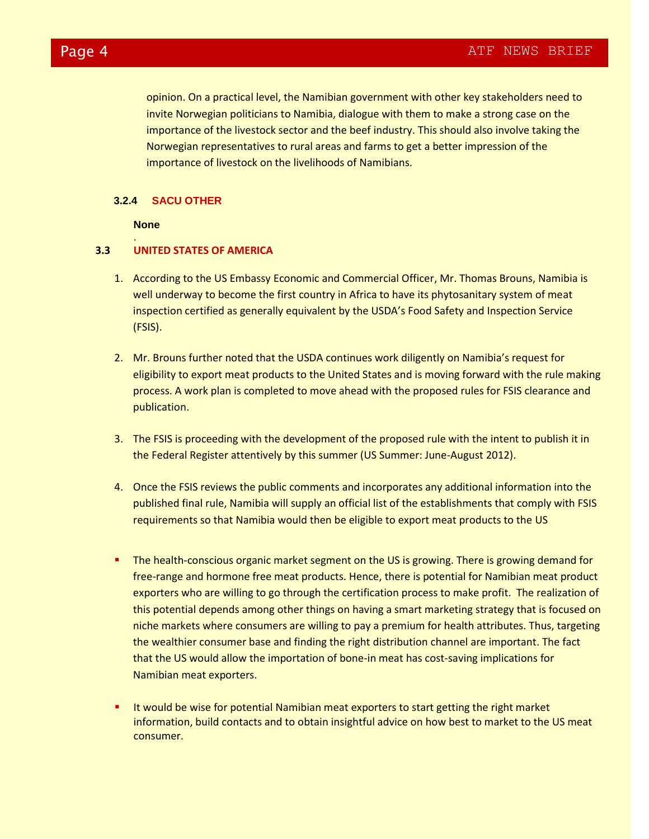opinion. On a practical level, the Namibian government with other key stakeholders need to invite Norwegian politicians to Namibia, dialogue with them to make a strong case on the importance of the livestock sector and the beef industry. This should also involve taking the Norwegian representatives to rural areas and farms to get a better impression of the importance of livestock on the livelihoods of Namibians.

#### **3.2.4 SACU OTHER**

#### **None**

.

#### **3.3 UNITED STATES OF AMERICA**

- 1. According to the US Embassy Economic and Commercial Officer, Mr. Thomas Brouns, Namibia is well underway to become the first country in Africa to have its phytosanitary system of meat inspection certified as generally equivalent by the USDA's Food Safety and Inspection Service (FSIS).
- 2. Mr. Brouns further noted that the USDA continues work diligently on Namibia's request for eligibility to export meat products to the United States and is moving forward with the rule making process. A work plan is completed to move ahead with the proposed rules for FSIS clearance and publication.
- 3. The FSIS is proceeding with the development of the proposed rule with the intent to publish it in the Federal Register attentively by this summer (US Summer: June-August 2012).
- 4. Once the FSIS reviews the public comments and incorporates any additional information into the published final rule, Namibia will supply an official list of the establishments that comply with FSIS requirements so that Namibia would then be eligible to export meat products to the US
- **The health-conscious organic market segment on the US is growing. There is growing demand for** free-range and hormone free meat products. Hence, there is potential for Namibian meat product exporters who are willing to go through the certification process to make profit. The realization of this potential depends among other things on having a smart marketing strategy that is focused on niche markets where consumers are willing to pay a premium for health attributes. Thus, targeting the wealthier consumer base and finding the right distribution channel are important. The fact that the US would allow the importation of bone-in meat has cost-saving implications for Namibian meat exporters.
- It would be wise for potential Namibian meat exporters to start getting the right market information, build contacts and to obtain insightful advice on how best to market to the US meat consumer.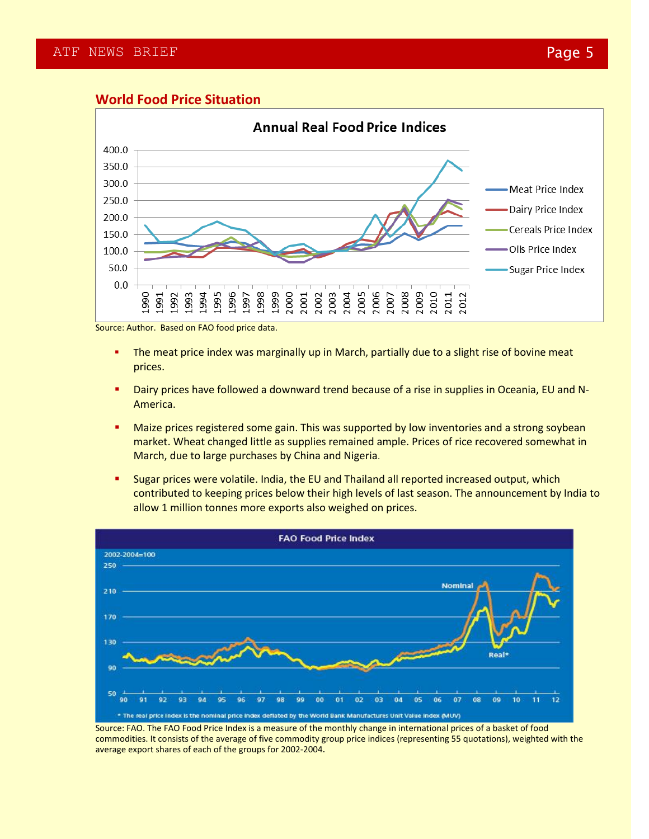#### **World Food Price Situation**



Source: Author. Based on FAO food price data.

- **The meat price index was marginally up in March, partially due to a slight rise of bovine meat** prices.
- **Dairy prices have followed a downward trend because of a rise in supplies in Oceania, EU and N-**America.
- **Maize prices registered some gain. This was supported by low inventories and a strong soybean** market. Wheat changed little as supplies remained ample. Prices of rice recovered somewhat in March, due to large purchases by China and Nigeria.
- **Sugar prices were volatile. India, the EU and Thailand all reported increased output, which** contributed to keeping prices below their high levels of last season. The announcement by India to allow 1 million tonnes more exports also weighed on prices.



Source: FAO. The FAO Food Price Index is a measure of the monthly change in international prices of a basket of food commodities. It consists of the average of five commodity group price indices (representing 55 quotations), weighted with the average export shares of each of the groups for 2002-2004.